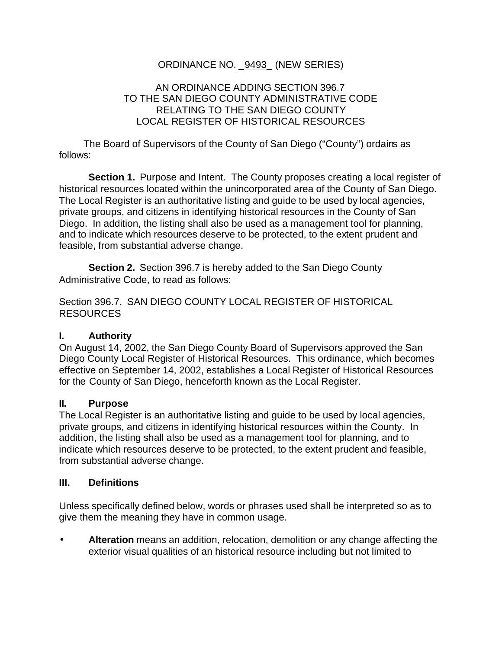## ORDINANCE NO. \_9493\_ (NEW SERIES)

### AN ORDINANCE ADDING SECTION 396.7 TO THE SAN DIEGO COUNTY ADMINISTRATIVE CODE RELATING TO THE SAN DIEGO COUNTY LOCAL REGISTER OF HISTORICAL RESOURCES

The Board of Supervisors of the County of San Diego ("County") ordains as follows:

**Section 1.** Purpose and Intent. The County proposes creating a local register of historical resources located within the unincorporated area of the County of San Diego. The Local Register is an authoritative listing and guide to be used by local agencies, private groups, and citizens in identifying historical resources in the County of San Diego. In addition, the listing shall also be used as a management tool for planning, and to indicate which resources deserve to be protected, to the extent prudent and feasible, from substantial adverse change.

**Section 2.** Section 396.7 is hereby added to the San Diego County Administrative Code, to read as follows:

Section 396.7. SAN DIEGO COUNTY LOCAL REGISTER OF HISTORICAL RESOURCES

## **I. Authority**

On August 14, 2002, the San Diego County Board of Supervisors approved the San Diego County Local Register of Historical Resources. This ordinance, which becomes effective on September 14, 2002, establishes a Local Register of Historical Resources for the County of San Diego, henceforth known as the Local Register.

#### **II. Purpose**

The Local Register is an authoritative listing and guide to be used by local agencies, private groups, and citizens in identifying historical resources within the County. In addition, the listing shall also be used as a management tool for planning, and to indicate which resources deserve to be protected, to the extent prudent and feasible, from substantial adverse change.

#### **III. Definitions**

Unless specifically defined below, words or phrases used shall be interpreted so as to give them the meaning they have in common usage.

• **Alteration** means an addition, relocation, demolition or any change affecting the exterior visual qualities of an historical resource including but not limited to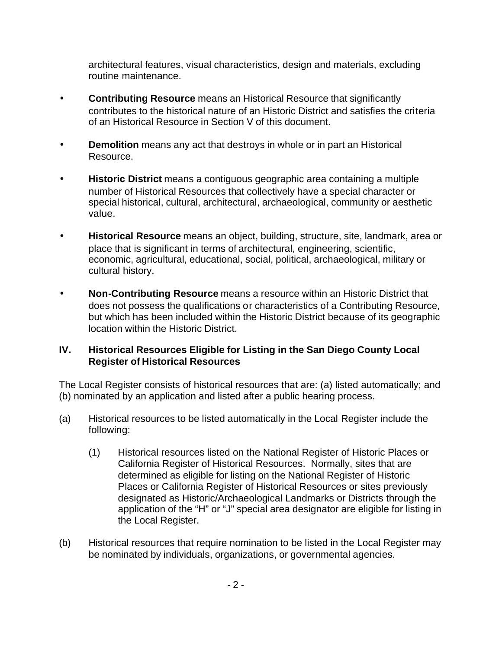architectural features, visual characteristics, design and materials, excluding routine maintenance.

- **Contributing Resource** means an Historical Resource that significantly contributes to the historical nature of an Historic District and satisfies the criteria of an Historical Resource in Section V of this document.
- **Demolition** means any act that destroys in whole or in part an Historical Resource.
- **Historic District** means a contiguous geographic area containing a multiple number of Historical Resources that collectively have a special character or special historical, cultural, architectural, archaeological, community or aesthetic value.
- **Historical Resource** means an object, building, structure, site, landmark, area or place that is significant in terms of architectural, engineering, scientific, economic, agricultural, educational, social, political, archaeological, military or cultural history.
- **Non-Contributing Resource** means a resource within an Historic District that does not possess the qualifications or characteristics of a Contributing Resource, but which has been included within the Historic District because of its geographic location within the Historic District.

## **IV. Historical Resources Eligible for Listing in the San Diego County Local Register of Historical Resources**

The Local Register consists of historical resources that are: (a) listed automatically; and (b) nominated by an application and listed after a public hearing process.

- (a) Historical resources to be listed automatically in the Local Register include the following:
	- (1) Historical resources listed on the National Register of Historic Places or California Register of Historical Resources. Normally, sites that are determined as eligible for listing on the National Register of Historic Places or California Register of Historical Resources or sites previously designated as Historic/Archaeological Landmarks or Districts through the application of the "H" or "J" special area designator are eligible for listing in the Local Register.
- (b) Historical resources that require nomination to be listed in the Local Register may be nominated by individuals, organizations, or governmental agencies.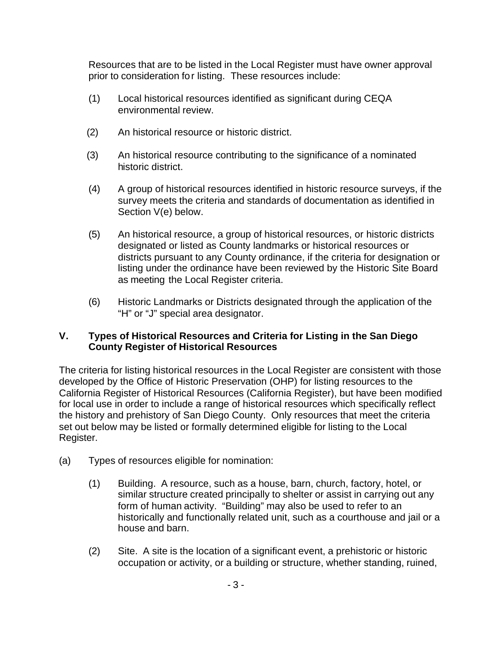Resources that are to be listed in the Local Register must have owner approval prior to consideration for listing. These resources include:

- (1) Local historical resources identified as significant during CEQA environmental review.
- (2) An historical resource or historic district.
- (3) An historical resource contributing to the significance of a nominated historic district.
- (4) A group of historical resources identified in historic resource surveys, if the survey meets the criteria and standards of documentation as identified in Section V(e) below.
- (5) An historical resource, a group of historical resources, or historic districts designated or listed as County landmarks or historical resources or districts pursuant to any County ordinance, if the criteria for designation or listing under the ordinance have been reviewed by the Historic Site Board as meeting the Local Register criteria.
- (6) Historic Landmarks or Districts designated through the application of the "H" or "J" special area designator.

## **V. Types of Historical Resources and Criteria for Listing in the San Diego County Register of Historical Resources**

The criteria for listing historical resources in the Local Register are consistent with those developed by the Office of Historic Preservation (OHP) for listing resources to the California Register of Historical Resources (California Register), but have been modified for local use in order to include a range of historical resources which specifically reflect the history and prehistory of San Diego County. Only resources that meet the criteria set out below may be listed or formally determined eligible for listing to the Local Register.

- (a) Types of resources eligible for nomination:
	- (1) Building. A resource, such as a house, barn, church, factory, hotel, or similar structure created principally to shelter or assist in carrying out any form of human activity. "Building" may also be used to refer to an historically and functionally related unit, such as a courthouse and jail or a house and barn.
	- (2) Site. A site is the location of a significant event, a prehistoric or historic occupation or activity, or a building or structure, whether standing, ruined,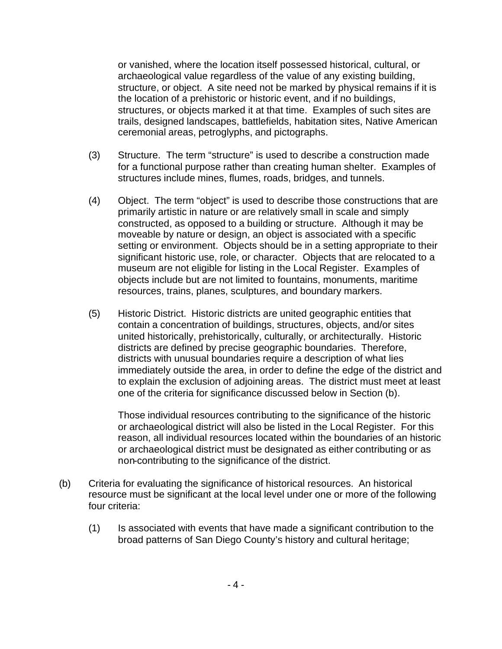or vanished, where the location itself possessed historical, cultural, or archaeological value regardless of the value of any existing building, structure, or object. A site need not be marked by physical remains if it is the location of a prehistoric or historic event, and if no buildings, structures, or objects marked it at that time. Examples of such sites are trails, designed landscapes, battlefields, habitation sites, Native American ceremonial areas, petroglyphs, and pictographs.

- (3) Structure. The term "structure" is used to describe a construction made for a functional purpose rather than creating human shelter. Examples of structures include mines, flumes, roads, bridges, and tunnels.
- (4) Object. The term "object" is used to describe those constructions that are primarily artistic in nature or are relatively small in scale and simply constructed, as opposed to a building or structure. Although it may be moveable by nature or design, an object is associated with a specific setting or environment. Objects should be in a setting appropriate to their significant historic use, role, or character. Objects that are relocated to a museum are not eligible for listing in the Local Register. Examples of objects include but are not limited to fountains, monuments, maritime resources, trains, planes, sculptures, and boundary markers.
- (5) Historic District. Historic districts are united geographic entities that contain a concentration of buildings, structures, objects, and/or sites united historically, prehistorically, culturally, or architecturally. Historic districts are defined by precise geographic boundaries. Therefore, districts with unusual boundaries require a description of what lies immediately outside the area, in order to define the edge of the district and to explain the exclusion of adjoining areas. The district must meet at least one of the criteria for significance discussed below in Section (b).

Those individual resources contributing to the significance of the historic or archaeological district will also be listed in the Local Register. For this reason, all individual resources located within the boundaries of an historic or archaeological district must be designated as either contributing or as non-contributing to the significance of the district.

- (b) Criteria for evaluating the significance of historical resources. An historical resource must be significant at the local level under one or more of the following four criteria:
	- (1) Is associated with events that have made a significant contribution to the broad patterns of San Diego County's history and cultural heritage;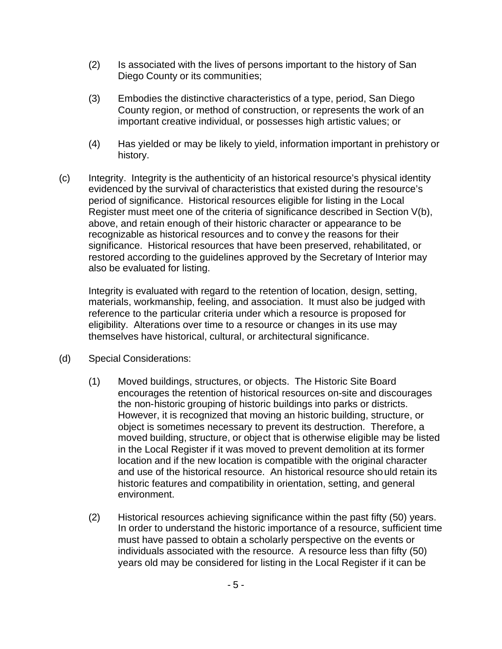- (2) Is associated with the lives of persons important to the history of San Diego County or its communities;
- (3) Embodies the distinctive characteristics of a type, period, San Diego County region, or method of construction, or represents the work of an important creative individual, or possesses high artistic values; or
- (4) Has yielded or may be likely to yield, information important in prehistory or history.
- (c) Integrity. Integrity is the authenticity of an historical resource's physical identity evidenced by the survival of characteristics that existed during the resource's period of significance. Historical resources eligible for listing in the Local Register must meet one of the criteria of significance described in Section V(b), above, and retain enough of their historic character or appearance to be recognizable as historical resources and to convey the reasons for their significance. Historical resources that have been preserved, rehabilitated, or restored according to the guidelines approved by the Secretary of Interior may also be evaluated for listing.

Integrity is evaluated with regard to the retention of location, design, setting, materials, workmanship, feeling, and association. It must also be judged with reference to the particular criteria under which a resource is proposed for eligibility. Alterations over time to a resource or changes in its use may themselves have historical, cultural, or architectural significance.

- (d) Special Considerations:
	- (1) Moved buildings, structures, or objects. The Historic Site Board encourages the retention of historical resources on-site and discourages the non-historic grouping of historic buildings into parks or districts. However, it is recognized that moving an historic building, structure, or object is sometimes necessary to prevent its destruction. Therefore, a moved building, structure, or object that is otherwise eligible may be listed in the Local Register if it was moved to prevent demolition at its former location and if the new location is compatible with the original character and use of the historical resource. An historical resource should retain its historic features and compatibility in orientation, setting, and general environment.
	- (2) Historical resources achieving significance within the past fifty (50) years. In order to understand the historic importance of a resource, sufficient time must have passed to obtain a scholarly perspective on the events or individuals associated with the resource. A resource less than fifty (50) years old may be considered for listing in the Local Register if it can be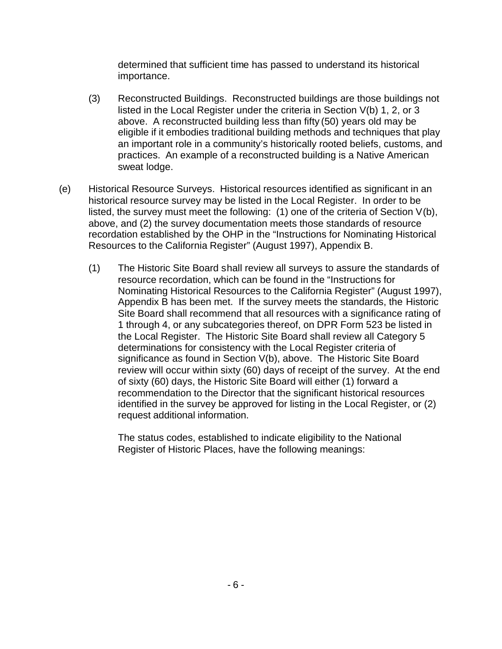determined that sufficient time has passed to understand its historical importance.

- (3) Reconstructed Buildings. Reconstructed buildings are those buildings not listed in the Local Register under the criteria in Section V(b) 1, 2, or 3 above. A reconstructed building less than fifty (50) years old may be eligible if it embodies traditional building methods and techniques that play an important role in a community's historically rooted beliefs, customs, and practices. An example of a reconstructed building is a Native American sweat lodge.
- (e) Historical Resource Surveys. Historical resources identified as significant in an historical resource survey may be listed in the Local Register. In order to be listed, the survey must meet the following: (1) one of the criteria of Section V(b), above, and (2) the survey documentation meets those standards of resource recordation established by the OHP in the "Instructions for Nominating Historical Resources to the California Register" (August 1997), Appendix B.
	- (1) The Historic Site Board shall review all surveys to assure the standards of resource recordation, which can be found in the "Instructions for Nominating Historical Resources to the California Register" (August 1997), Appendix B has been met. If the survey meets the standards, the Historic Site Board shall recommend that all resources with a significance rating of 1 through 4, or any subcategories thereof, on DPR Form 523 be listed in the Local Register. The Historic Site Board shall review all Category 5 determinations for consistency with the Local Register criteria of significance as found in Section V(b), above. The Historic Site Board review will occur within sixty (60) days of receipt of the survey. At the end of sixty (60) days, the Historic Site Board will either (1) forward a recommendation to the Director that the significant historical resources identified in the survey be approved for listing in the Local Register, or (2) request additional information.

The status codes, established to indicate eligibility to the National Register of Historic Places, have the following meanings: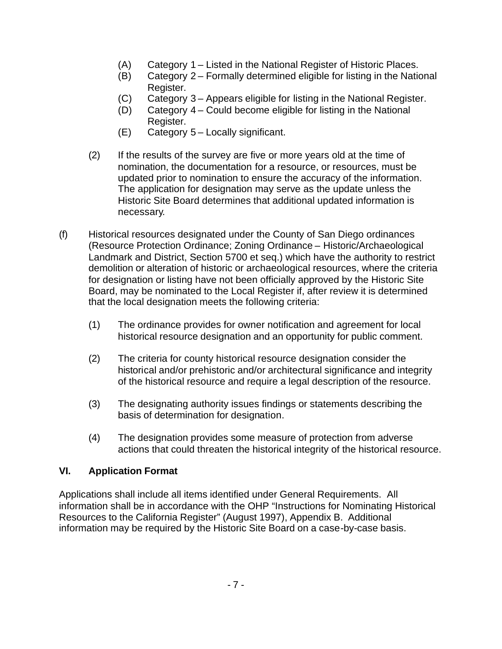- (A) Category 1 Listed in the National Register of Historic Places.
- (B) Category 2 Formally determined eligible for listing in the National Register.
- (C) Category 3 Appears eligible for listing in the National Register.
- (D) Category 4 Could become eligible for listing in the National Register.
- (E) Category 5 Locally significant.
- (2) If the results of the survey are five or more years old at the time of nomination, the documentation for a resource, or resources, must be updated prior to nomination to ensure the accuracy of the information. The application for designation may serve as the update unless the Historic Site Board determines that additional updated information is necessary.
- (f) Historical resources designated under the County of San Diego ordinances (Resource Protection Ordinance; Zoning Ordinance – Historic/Archaeological Landmark and District, Section 5700 et seq.) which have the authority to restrict demolition or alteration of historic or archaeological resources, where the criteria for designation or listing have not been officially approved by the Historic Site Board, may be nominated to the Local Register if, after review it is determined that the local designation meets the following criteria:
	- (1) The ordinance provides for owner notification and agreement for local historical resource designation and an opportunity for public comment.
	- (2) The criteria for county historical resource designation consider the historical and/or prehistoric and/or architectural significance and integrity of the historical resource and require a legal description of the resource.
	- (3) The designating authority issues findings or statements describing the basis of determination for designation.
	- (4) The designation provides some measure of protection from adverse actions that could threaten the historical integrity of the historical resource.

# **VI. Application Format**

Applications shall include all items identified under General Requirements. All information shall be in accordance with the OHP "Instructions for Nominating Historical Resources to the California Register" (August 1997), Appendix B. Additional information may be required by the Historic Site Board on a case-by-case basis.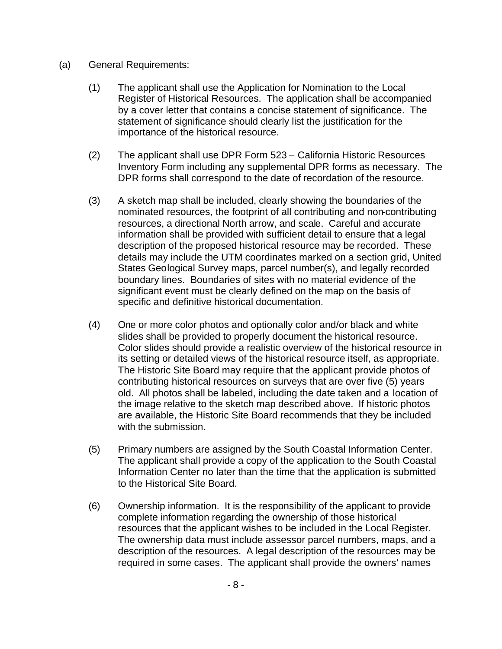- (a) General Requirements:
	- (1) The applicant shall use the Application for Nomination to the Local Register of Historical Resources. The application shall be accompanied by a cover letter that contains a concise statement of significance. The statement of significance should clearly list the justification for the importance of the historical resource.
	- (2) The applicant shall use DPR Form 523 California Historic Resources Inventory Form including any supplemental DPR forms as necessary. The DPR forms shall correspond to the date of recordation of the resource.
	- (3) A sketch map shall be included, clearly showing the boundaries of the nominated resources, the footprint of all contributing and non-contributing resources, a directional North arrow, and scale. Careful and accurate information shall be provided with sufficient detail to ensure that a legal description of the proposed historical resource may be recorded. These details may include the UTM coordinates marked on a section grid, United States Geological Survey maps, parcel number(s), and legally recorded boundary lines. Boundaries of sites with no material evidence of the significant event must be clearly defined on the map on the basis of specific and definitive historical documentation.
	- (4) One or more color photos and optionally color and/or black and white slides shall be provided to properly document the historical resource. Color slides should provide a realistic overview of the historical resource in its setting or detailed views of the historical resource itself, as appropriate. The Historic Site Board may require that the applicant provide photos of contributing historical resources on surveys that are over five (5) years old. All photos shall be labeled, including the date taken and a location of the image relative to the sketch map described above. If historic photos are available, the Historic Site Board recommends that they be included with the submission.
	- (5) Primary numbers are assigned by the South Coastal Information Center. The applicant shall provide a copy of the application to the South Coastal Information Center no later than the time that the application is submitted to the Historical Site Board.
	- (6) Ownership information. It is the responsibility of the applicant to provide complete information regarding the ownership of those historical resources that the applicant wishes to be included in the Local Register. The ownership data must include assessor parcel numbers, maps, and a description of the resources. A legal description of the resources may be required in some cases. The applicant shall provide the owners' names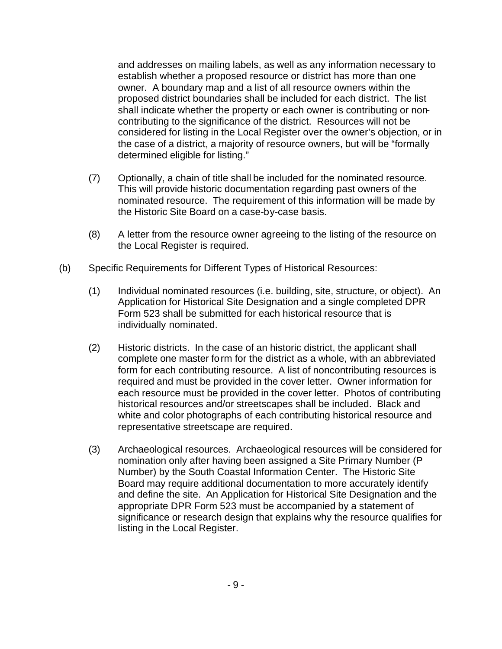and addresses on mailing labels, as well as any information necessary to establish whether a proposed resource or district has more than one owner. A boundary map and a list of all resource owners within the proposed district boundaries shall be included for each district. The list shall indicate whether the property or each owner is contributing or noncontributing to the significance of the district. Resources will not be considered for listing in the Local Register over the owner's objection, or in the case of a district, a majority of resource owners, but will be "formally determined eligible for listing."

- (7) Optionally, a chain of title shall be included for the nominated resource. This will provide historic documentation regarding past owners of the nominated resource. The requirement of this information will be made by the Historic Site Board on a case-by-case basis.
- (8) A letter from the resource owner agreeing to the listing of the resource on the Local Register is required.
- (b) Specific Requirements for Different Types of Historical Resources:
	- (1) Individual nominated resources (i.e. building, site, structure, or object). An Application for Historical Site Designation and a single completed DPR Form 523 shall be submitted for each historical resource that is individually nominated.
	- (2) Historic districts. In the case of an historic district, the applicant shall complete one master form for the district as a whole, with an abbreviated form for each contributing resource. A list of noncontributing resources is required and must be provided in the cover letter. Owner information for each resource must be provided in the cover letter. Photos of contributing historical resources and/or streetscapes shall be included. Black and white and color photographs of each contributing historical resource and representative streetscape are required.
	- (3) Archaeological resources. Archaeological resources will be considered for nomination only after having been assigned a Site Primary Number (P Number) by the South Coastal Information Center. The Historic Site Board may require additional documentation to more accurately identify and define the site. An Application for Historical Site Designation and the appropriate DPR Form 523 must be accompanied by a statement of significance or research design that explains why the resource qualifies for listing in the Local Register.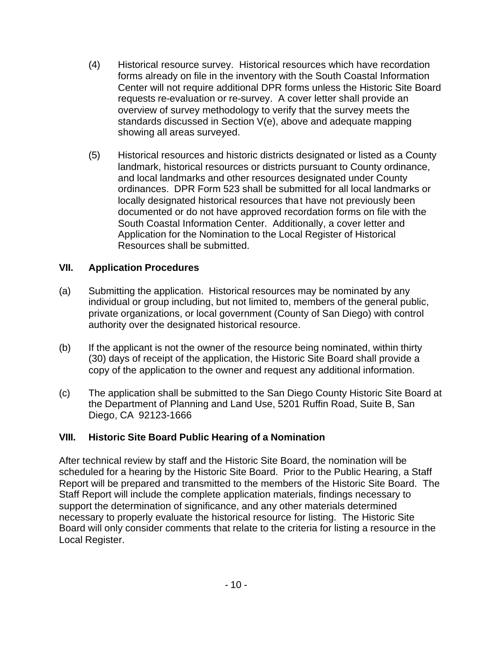- (4) Historical resource survey. Historical resources which have recordation forms already on file in the inventory with the South Coastal Information Center will not require additional DPR forms unless the Historic Site Board requests re-evaluation or re-survey. A cover letter shall provide an overview of survey methodology to verify that the survey meets the standards discussed in Section V(e), above and adequate mapping showing all areas surveyed.
- (5) Historical resources and historic districts designated or listed as a County landmark, historical resources or districts pursuant to County ordinance, and local landmarks and other resources designated under County ordinances. DPR Form 523 shall be submitted for all local landmarks or locally designated historical resources that have not previously been documented or do not have approved recordation forms on file with the South Coastal Information Center. Additionally, a cover letter and Application for the Nomination to the Local Register of Historical Resources shall be submitted.

## **VII. Application Procedures**

- (a) Submitting the application. Historical resources may be nominated by any individual or group including, but not limited to, members of the general public, private organizations, or local government (County of San Diego) with control authority over the designated historical resource.
- (b) If the applicant is not the owner of the resource being nominated, within thirty (30) days of receipt of the application, the Historic Site Board shall provide a copy of the application to the owner and request any additional information.
- (c) The application shall be submitted to the San Diego County Historic Site Board at the Department of Planning and Land Use, 5201 Ruffin Road, Suite B, San Diego, CA 92123-1666

## **VIII. Historic Site Board Public Hearing of a Nomination**

After technical review by staff and the Historic Site Board, the nomination will be scheduled for a hearing by the Historic Site Board. Prior to the Public Hearing, a Staff Report will be prepared and transmitted to the members of the Historic Site Board. The Staff Report will include the complete application materials, findings necessary to support the determination of significance, and any other materials determined necessary to properly evaluate the historical resource for listing. The Historic Site Board will only consider comments that relate to the criteria for listing a resource in the Local Register.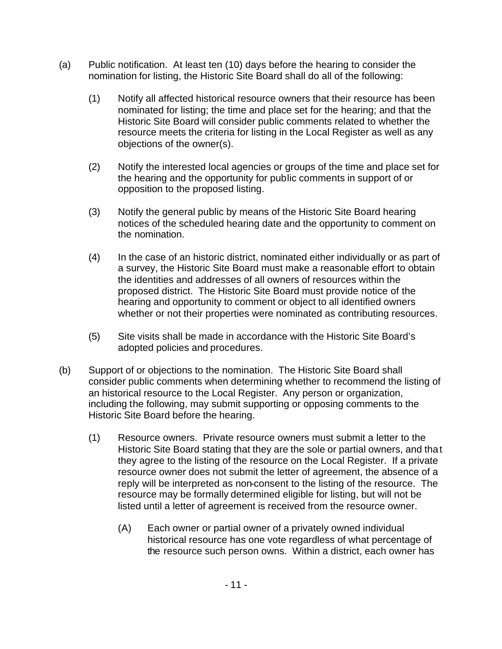- (a) Public notification. At least ten (10) days before the hearing to consider the nomination for listing, the Historic Site Board shall do all of the following:
	- (1) Notify all affected historical resource owners that their resource has been nominated for listing; the time and place set for the hearing; and that the Historic Site Board will consider public comments related to whether the resource meets the criteria for listing in the Local Register as well as any objections of the owner(s).
	- (2) Notify the interested local agencies or groups of the time and place set for the hearing and the opportunity for public comments in support of or opposition to the proposed listing.
	- (3) Notify the general public by means of the Historic Site Board hearing notices of the scheduled hearing date and the opportunity to comment on the nomination.
	- (4) In the case of an historic district, nominated either individually or as part of a survey, the Historic Site Board must make a reasonable effort to obtain the identities and addresses of all owners of resources within the proposed district. The Historic Site Board must provide notice of the hearing and opportunity to comment or object to all identified owners whether or not their properties were nominated as contributing resources.
	- (5) Site visits shall be made in accordance with the Historic Site Board's adopted policies and procedures.
- (b) Support of or objections to the nomination. The Historic Site Board shall consider public comments when determining whether to recommend the listing of an historical resource to the Local Register. Any person or organization, including the following, may submit supporting or opposing comments to the Historic Site Board before the hearing.
	- (1) Resource owners. Private resource owners must submit a letter to the Historic Site Board stating that they are the sole or partial owners, and that they agree to the listing of the resource on the Local Register. If a private resource owner does not submit the letter of agreement, the absence of a reply will be interpreted as non-consent to the listing of the resource. The resource may be formally determined eligible for listing, but will not be listed until a letter of agreement is received from the resource owner.
		- (A) Each owner or partial owner of a privately owned individual historical resource has one vote regardless of what percentage of the resource such person owns. Within a district, each owner has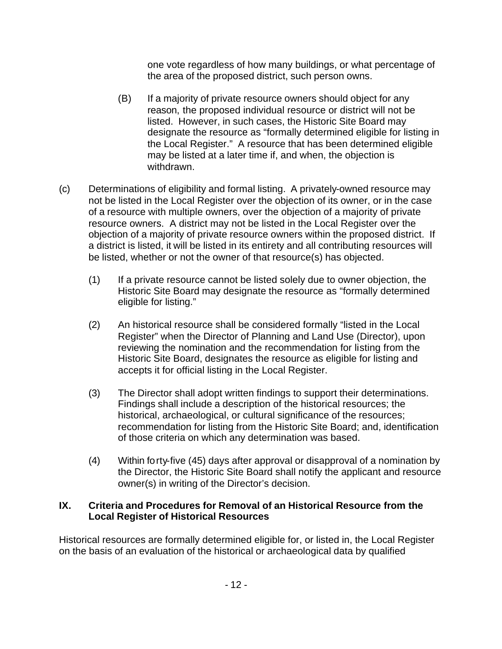one vote regardless of how many buildings, or what percentage of the area of the proposed district, such person owns.

- (B) If a majority of private resource owners should object for any reason, the proposed individual resource or district will not be listed. However, in such cases, the Historic Site Board may designate the resource as "formally determined eligible for listing in the Local Register." A resource that has been determined eligible may be listed at a later time if, and when, the objection is withdrawn.
- (c) Determinations of eligibility and formal listing. A privately-owned resource may not be listed in the Local Register over the objection of its owner, or in the case of a resource with multiple owners, over the objection of a majority of private resource owners. A district may not be listed in the Local Register over the objection of a majority of private resource owners within the proposed district. If a district is listed, it will be listed in its entirety and all contributing resources will be listed, whether or not the owner of that resource(s) has objected.
	- (1) If a private resource cannot be listed solely due to owner objection, the Historic Site Board may designate the resource as "formally determined eligible for listing."
	- (2) An historical resource shall be considered formally "listed in the Local Register" when the Director of Planning and Land Use (Director), upon reviewing the nomination and the recommendation for listing from the Historic Site Board, designates the resource as eligible for listing and accepts it for official listing in the Local Register.
	- (3) The Director shall adopt written findings to support their determinations. Findings shall include a description of the historical resources; the historical, archaeological, or cultural significance of the resources; recommendation for listing from the Historic Site Board; and, identification of those criteria on which any determination was based.
	- (4) Within forty-five (45) days after approval or disapproval of a nomination by the Director, the Historic Site Board shall notify the applicant and resource owner(s) in writing of the Director's decision.

### **IX. Criteria and Procedures for Removal of an Historical Resource from the Local Register of Historical Resources**

Historical resources are formally determined eligible for, or listed in, the Local Register on the basis of an evaluation of the historical or archaeological data by qualified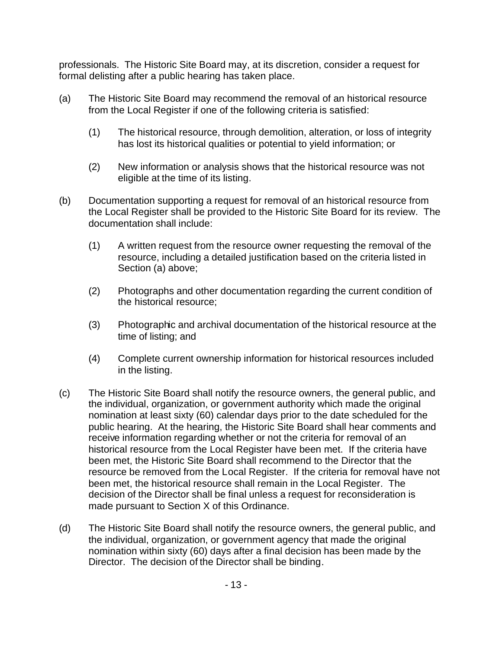professionals. The Historic Site Board may, at its discretion, consider a request for formal delisting after a public hearing has taken place.

- (a) The Historic Site Board may recommend the removal of an historical resource from the Local Register if one of the following criteria is satisfied:
	- (1) The historical resource, through demolition, alteration, or loss of integrity has lost its historical qualities or potential to yield information; or
	- (2) New information or analysis shows that the historical resource was not eligible at the time of its listing.
- (b) Documentation supporting a request for removal of an historical resource from the Local Register shall be provided to the Historic Site Board for its review. The documentation shall include:
	- (1) A written request from the resource owner requesting the removal of the resource, including a detailed justification based on the criteria listed in Section (a) above;
	- (2) Photographs and other documentation regarding the current condition of the historical resource;
	- (3) Photographic and archival documentation of the historical resource at the time of listing; and
	- (4) Complete current ownership information for historical resources included in the listing.
- (c) The Historic Site Board shall notify the resource owners, the general public, and the individual, organization, or government authority which made the original nomination at least sixty (60) calendar days prior to the date scheduled for the public hearing. At the hearing, the Historic Site Board shall hear comments and receive information regarding whether or not the criteria for removal of an historical resource from the Local Register have been met. If the criteria have been met, the Historic Site Board shall recommend to the Director that the resource be removed from the Local Register. If the criteria for removal have not been met, the historical resource shall remain in the Local Register. The decision of the Director shall be final unless a request for reconsideration is made pursuant to Section X of this Ordinance.
- (d) The Historic Site Board shall notify the resource owners, the general public, and the individual, organization, or government agency that made the original nomination within sixty (60) days after a final decision has been made by the Director. The decision of the Director shall be binding.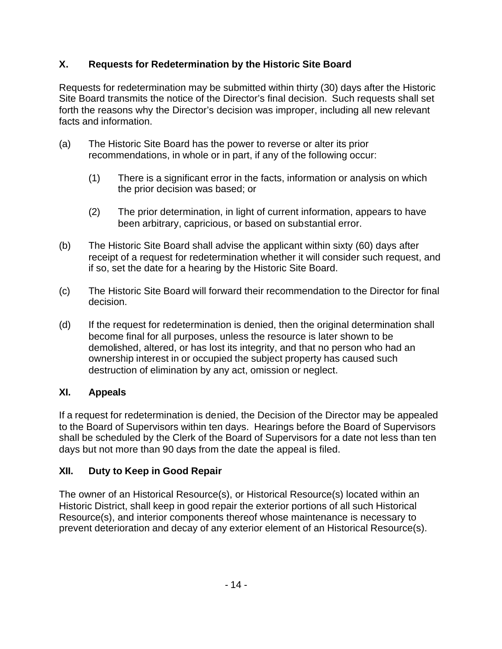# **X. Requests for Redetermination by the Historic Site Board**

Requests for redetermination may be submitted within thirty (30) days after the Historic Site Board transmits the notice of the Director's final decision. Such requests shall set forth the reasons why the Director's decision was improper, including all new relevant facts and information.

- (a) The Historic Site Board has the power to reverse or alter its prior recommendations, in whole or in part, if any of the following occur:
	- (1) There is a significant error in the facts, information or analysis on which the prior decision was based; or
	- (2) The prior determination, in light of current information, appears to have been arbitrary, capricious, or based on substantial error.
- (b) The Historic Site Board shall advise the applicant within sixty (60) days after receipt of a request for redetermination whether it will consider such request, and if so, set the date for a hearing by the Historic Site Board.
- (c) The Historic Site Board will forward their recommendation to the Director for final decision.
- (d) If the request for redetermination is denied, then the original determination shall become final for all purposes, unless the resource is later shown to be demolished, altered, or has lost its integrity, and that no person who had an ownership interest in or occupied the subject property has caused such destruction of elimination by any act, omission or neglect.

# **XI. Appeals**

If a request for redetermination is denied, the Decision of the Director may be appealed to the Board of Supervisors within ten days. Hearings before the Board of Supervisors shall be scheduled by the Clerk of the Board of Supervisors for a date not less than ten days but not more than 90 days from the date the appeal is filed.

# **XII. Duty to Keep in Good Repair**

The owner of an Historical Resource(s), or Historical Resource(s) located within an Historic District, shall keep in good repair the exterior portions of all such Historical Resource(s), and interior components thereof whose maintenance is necessary to prevent deterioration and decay of any exterior element of an Historical Resource(s).